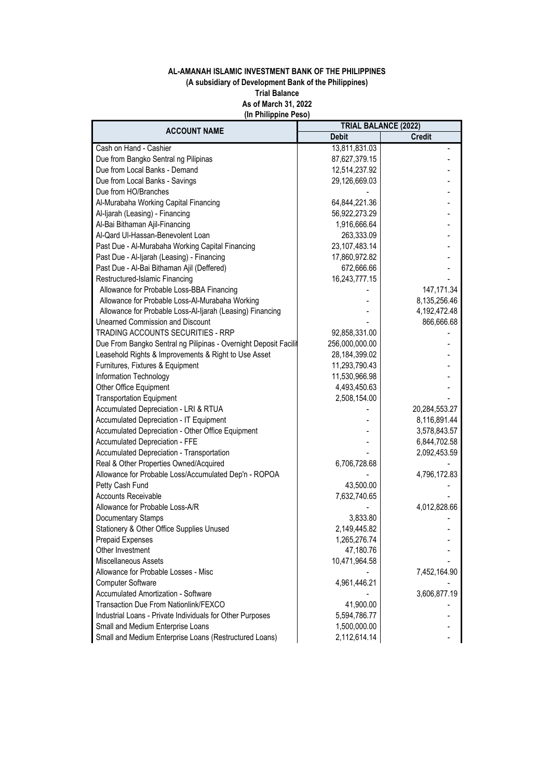## **AL-AMANAH ISLAMIC INVESTMENT BANK OF THE PHILIPPINES (A subsidiary of Development Bank of the Philippines) Trial Balance As of March 31, 2022 (In Philippine Peso)**

|                                                                  |                  | <b>TRIAL BALANCE (2022)</b> |  |
|------------------------------------------------------------------|------------------|-----------------------------|--|
| <b>ACCOUNT NAME</b>                                              | <b>Debit</b>     | <b>Credit</b>               |  |
| Cash on Hand - Cashier                                           | 13,811,831.03    |                             |  |
| Due from Bangko Sentral ng Pilipinas                             | 87,627,379.15    |                             |  |
| Due from Local Banks - Demand                                    | 12,514,237.92    |                             |  |
| Due from Local Banks - Savings                                   | 29,126,669.03    |                             |  |
| Due from HO/Branches                                             |                  |                             |  |
| Al-Murabaha Working Capital Financing                            | 64,844,221.36    |                             |  |
| Al-Ijarah (Leasing) - Financing                                  | 56,922,273.29    |                             |  |
| Al-Bai Bithaman Ajil-Financing                                   | 1,916,666.64     |                             |  |
| Al-Qard Ul-Hassan-Benevolent Loan                                | 263,333.09       |                             |  |
| Past Due - Al-Murabaha Working Capital Financing                 | 23, 107, 483. 14 |                             |  |
| Past Due - Al-Ijarah (Leasing) - Financing                       | 17,860,972.82    |                             |  |
| Past Due - Al-Bai Bithaman Ajil (Deffered)                       | 672,666.66       |                             |  |
| Restructured-Islamic Financing                                   | 16,243,777.15    |                             |  |
| Allowance for Probable Loss-BBA Financing                        |                  | 147, 171.34                 |  |
| Allowance for Probable Loss-Al-Murabaha Working                  |                  | 8,135,256.46                |  |
| Allowance for Probable Loss-Al-Ijarah (Leasing) Financing        |                  | 4,192,472.48                |  |
| <b>Unearned Commission and Discount</b>                          |                  | 866,666.68                  |  |
| TRADING ACCOUNTS SECURITIES - RRP                                | 92,858,331.00    |                             |  |
| Due From Bangko Sentral ng Pilipinas - Overnight Deposit Facilit | 256,000,000.00   |                             |  |
| Leasehold Rights & Improvements & Right to Use Asset             | 28,184,399.02    |                             |  |
| Furnitures, Fixtures & Equipment                                 | 11,293,790.43    |                             |  |
| Information Technology                                           | 11,530,966.98    |                             |  |
| Other Office Equipment                                           | 4,493,450.63     |                             |  |
| <b>Transportation Equipment</b>                                  | 2,508,154.00     |                             |  |
| Accumulated Depreciation - LRI & RTUA                            |                  | 20,284,553.27               |  |
| Accumulated Depreciation - IT Equipment                          |                  | 8,116,891.44                |  |
| Accumulated Depreciation - Other Office Equipment                |                  | 3,578,843.57                |  |
| Accumulated Depreciation - FFE                                   |                  | 6,844,702.58                |  |
| Accumulated Depreciation - Transportation                        |                  | 2,092,453.59                |  |
| Real & Other Properties Owned/Acquired                           | 6,706,728.68     |                             |  |
| Allowance for Probable Loss/Accumulated Dep'n - ROPOA            |                  | 4,796,172.83                |  |
| Petty Cash Fund                                                  | 43,500.00        |                             |  |
| <b>Accounts Receivable</b>                                       | 7,632,740.65     |                             |  |
| Allowance for Probable Loss-A/R                                  |                  | 4,012,828.66                |  |
| Documentary Stamps                                               | 3,833.80         |                             |  |
| Stationery & Other Office Supplies Unused                        | 2,149,445.82     |                             |  |
| Prepaid Expenses                                                 | 1,265,276.74     |                             |  |
| Other Investment                                                 | 47,180.76        |                             |  |
| Miscellaneous Assets                                             | 10,471,964.58    |                             |  |
| Allowance for Probable Losses - Misc                             |                  | 7,452,164.90                |  |
| <b>Computer Software</b>                                         | 4,961,446.21     |                             |  |
| <b>Accumulated Amortization - Software</b>                       |                  | 3,606,877.19                |  |
| Transaction Due From Nationlink/FEXCO                            | 41,900.00        |                             |  |
| Industrial Loans - Private Individuals for Other Purposes        | 5,594,786.77     |                             |  |
| Small and Medium Enterprise Loans                                | 1,500,000.00     |                             |  |
| Small and Medium Enterprise Loans (Restructured Loans)           | 2,112,614.14     |                             |  |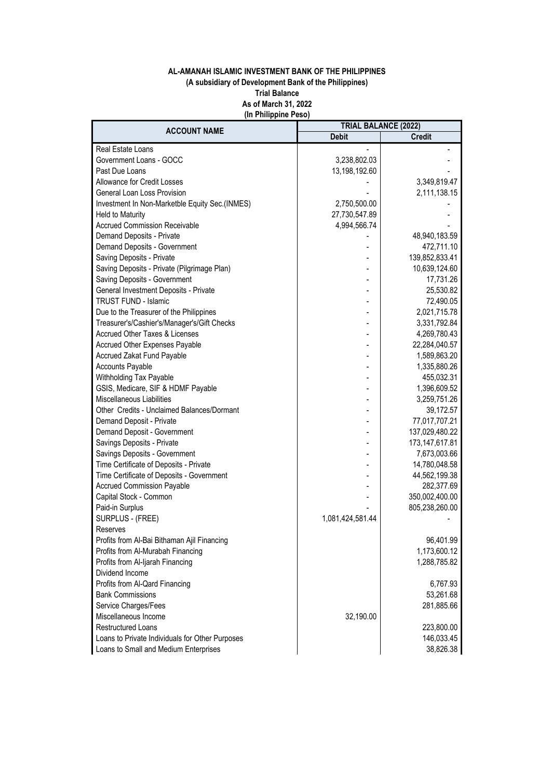## **AL-AMANAH ISLAMIC INVESTMENT BANK OF THE PHILIPPINES (A subsidiary of Development Bank of the Philippines) Trial Balance As of March 31, 2022 (In Philippine Peso)**

| <b>ACCOUNT NAME</b>                             | <b>TRIAL BALANCE (2022)</b> |                   |
|-------------------------------------------------|-----------------------------|-------------------|
|                                                 | <b>Debit</b>                | <b>Credit</b>     |
| Real Estate Loans                               |                             |                   |
| Government Loans - GOCC                         | 3,238,802.03                |                   |
| Past Due Loans                                  | 13,198,192.60               |                   |
| Allowance for Credit Losses                     |                             | 3,349,819.47      |
| General Loan Loss Provision                     |                             | 2,111,138.15      |
| Investment In Non-Marketble Equity Sec.(INMES)  | 2,750,500.00                |                   |
| <b>Held to Maturity</b>                         | 27,730,547.89               |                   |
| <b>Accrued Commission Receivable</b>            | 4,994,566.74                |                   |
| Demand Deposits - Private                       |                             | 48,940,183.59     |
| Demand Deposits - Government                    |                             | 472,711.10        |
| Saving Deposits - Private                       |                             | 139,852,833.41    |
| Saving Deposits - Private (Pilgrimage Plan)     |                             | 10,639,124.60     |
| Saving Deposits - Government                    |                             | 17,731.26         |
| General Investment Deposits - Private           |                             | 25,530.82         |
| <b>TRUST FUND - Islamic</b>                     |                             | 72,490.05         |
| Due to the Treasurer of the Philippines         |                             | 2,021,715.78      |
| Treasurer's/Cashier's/Manager's/Gift Checks     |                             | 3,331,792.84      |
| Accrued Other Taxes & Licenses                  |                             | 4,269,780.43      |
| Accrued Other Expenses Payable                  |                             | 22,284,040.57     |
| Accrued Zakat Fund Payable                      |                             | 1,589,863.20      |
| <b>Accounts Payable</b>                         |                             | 1,335,880.26      |
| Withholding Tax Payable                         |                             | 455,032.31        |
| GSIS, Medicare, SIF & HDMF Payable              |                             | 1,396,609.52      |
| <b>Miscellaneous Liabilities</b>                |                             | 3,259,751.26      |
| Other Credits - Unclaimed Balances/Dormant      |                             | 39,172.57         |
| Demand Deposit - Private                        |                             | 77,017,707.21     |
| Demand Deposit - Government                     |                             | 137,029,480.22    |
| Savings Deposits - Private                      |                             | 173, 147, 617. 81 |
| Savings Deposits - Government                   |                             | 7,673,003.66      |
| Time Certificate of Deposits - Private          |                             | 14,780,048.58     |
| Time Certificate of Deposits - Government       |                             | 44,562,199.38     |
| <b>Accrued Commission Payable</b>               |                             | 282,377.69        |
| Capital Stock - Common                          |                             | 350,002,400.00    |
| Paid-in Surplus                                 |                             | 805,238,260.00    |
| SURPLUS - (FREE)                                | 1,081,424,581.44            |                   |
| Reserves                                        |                             |                   |
| Profits from Al-Bai Bithaman Ajil Financing     |                             | 96,401.99         |
| Profits from Al-Murabah Financing               |                             | 1,173,600.12      |
| Profits from Al-Ijarah Financing                |                             | 1,288,785.82      |
| Dividend Income                                 |                             |                   |
| Profits from Al-Qard Financing                  |                             | 6,767.93          |
| <b>Bank Commissions</b>                         |                             | 53,261.68         |
| Service Charges/Fees                            |                             | 281,885.66        |
| Miscellaneous Income                            | 32,190.00                   |                   |
| <b>Restructured Loans</b>                       |                             | 223,800.00        |
| Loans to Private Individuals for Other Purposes |                             | 146,033.45        |
| Loans to Small and Medium Enterprises           |                             | 38,826.38         |